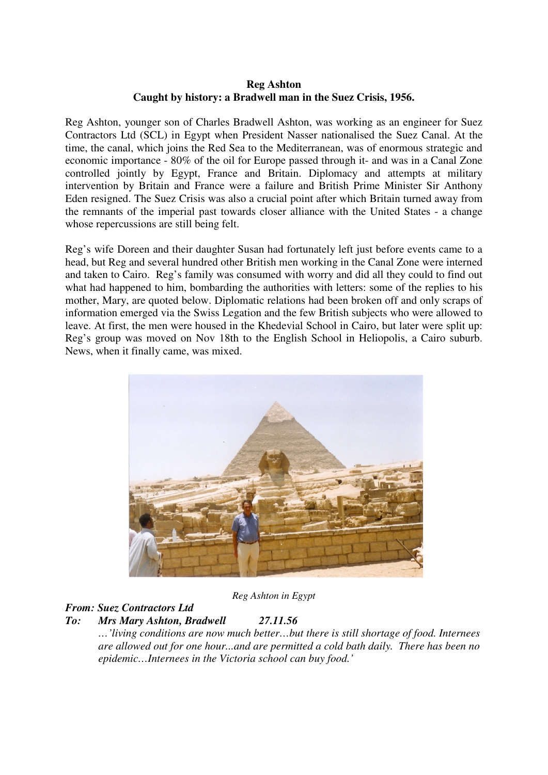#### **Reg Ashton Caught by history: a Bradwell man in the Suez Crisis, 1956.**

Reg Ashton, younger son of Charles Bradwell Ashton, was working as an engineer for Suez Contractors Ltd (SCL) in Egypt when President Nasser nationalised the Suez Canal. At the time, the canal, which joins the Red Sea to the Mediterranean, was of enormous strategic and economic importance - 80% of the oil for Europe passed through it- and was in a Canal Zone controlled jointly by Egypt, France and Britain. Diplomacy and attempts at military intervention by Britain and France were a failure and British Prime Minister Sir Anthony Eden resigned. The Suez Crisis was also a crucial point after which Britain turned away from the remnants of the imperial past towards closer alliance with the United States - a change whose repercussions are still being felt.

Reg's wife Doreen and their daughter Susan had fortunately left just before events came to a head, but Reg and several hundred other British men working in the Canal Zone were interned and taken to Cairo. Reg's family was consumed with worry and did all they could to find out what had happened to him, bombarding the authorities with letters: some of the replies to his mother, Mary, are quoted below. Diplomatic relations had been broken off and only scraps of information emerged via the Swiss Legation and the few British subjects who were allowed to leave. At first, the men were housed in the Khedevial School in Cairo, but later were split up: Reg's group was moved on Nov 18th to the English School in Heliopolis, a Cairo suburb. News, when it finally came, was mixed.



*Reg Ashton in Egypt* 

## *From: Suez Contractors Ltd*

## *To: Mrs Mary Ashton, Bradwell 27.11.56*

*…'living conditions are now much better…but there is still shortage of food. Internees are allowed out for one hour...and are permitted a cold bath daily. There has been no epidemic…Internees in the Victoria school can buy food.'*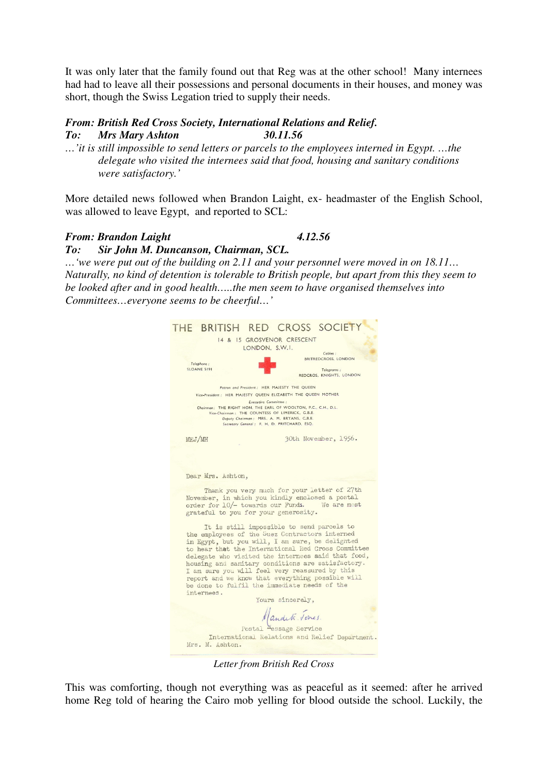It was only later that the family found out that Reg was at the other school! Many internees had had to leave all their possessions and personal documents in their houses, and money was short, though the Swiss Legation tried to supply their needs.

#### *From: British Red Cross Society, International Relations and Relief. To: Mrs Mary Ashton 30.11.56*

*…'it is still impossible to send letters or parcels to the employees interned in Egypt. …the delegate who visited the internees said that food, housing and sanitary conditions were satisfactory.'* 

More detailed news followed when Brandon Laight, ex- headmaster of the English School, was allowed to leave Egypt, and reported to SCL:

### *From: Brandon Laight 4.12.56*

# *To: Sir John M. Duncanson, Chairman, SCL.*

*…'we were put out of the building on 2.11 and your personnel were moved in on 18.11… Naturally, no kind of detention is tolerable to British people, but apart from this they seem to be looked after and in good health…..the men seem to have organised themselves into Committees…everyone seems to be cheerful…'* 

| THE BRITISH RED CROSS SOCIETY                                                                                                                                                                                                                                                                                                                                                                                                                                                       |
|-------------------------------------------------------------------------------------------------------------------------------------------------------------------------------------------------------------------------------------------------------------------------------------------------------------------------------------------------------------------------------------------------------------------------------------------------------------------------------------|
| 14 & 15 GROSVENOR CRESCENT<br>LONDON, S.W.I.                                                                                                                                                                                                                                                                                                                                                                                                                                        |
| Cables:<br>BRITREDCROSS, LONDON<br>Telephone:<br>SLOANE 5191<br>Telegrams:<br>REDCROS, KNIGHTS, LONDON                                                                                                                                                                                                                                                                                                                                                                              |
| Patron and President: HER MAJESTY THE QUEEN<br>Vice-President: HER MAJESTY QUEEN ELIZABETH THE QUEEN MOTHER<br><b>Executive Committee:</b><br>Chairman: THE RIGHT HON, THE EARL OF WOOLTON, P.C., C.H., D.L.<br>Vice-Chairman: THE COUNTESS OF LIMERICK, G.B.E.<br>Deputy Chairman: MRS. A. M. BRYANS, C.B.E.<br>Secretary General: F. H. D. PRITCHARD, ESQ.                                                                                                                        |
| 30th November, 1956.<br>MEJ/MH                                                                                                                                                                                                                                                                                                                                                                                                                                                      |
| Dear Mrs. Ashton,                                                                                                                                                                                                                                                                                                                                                                                                                                                                   |
| Thank you very much for your letter of 27th<br>November, in which you kindly enclosed a postal<br>order for 10/- towards our Funds. We are most<br>grateful to you for your generosity.                                                                                                                                                                                                                                                                                             |
| It is still impossible to send parcels to<br>the employees of the Suez Contractors interned<br>in Egypt, but you will, I am sure, be delighted<br>to hear that the International Red Cross Committee<br>delegate who visited the internees said that food,<br>housing and sanitary conditions are satisfactory.<br>I am sure you will feel very reassured by this<br>report and we know that everything possible will<br>be done to fulfil the immediate needs of the<br>internees. |
| Yours sincerely.                                                                                                                                                                                                                                                                                                                                                                                                                                                                    |
| Mandet Tones.                                                                                                                                                                                                                                                                                                                                                                                                                                                                       |
| Postal Message Service<br>International Relations and Relief Department.                                                                                                                                                                                                                                                                                                                                                                                                            |
| Mrs. M. Ashton.                                                                                                                                                                                                                                                                                                                                                                                                                                                                     |

*Letter from British Red Cross* 

This was comforting, though not everything was as peaceful as it seemed: after he arrived home Reg told of hearing the Cairo mob yelling for blood outside the school. Luckily, the